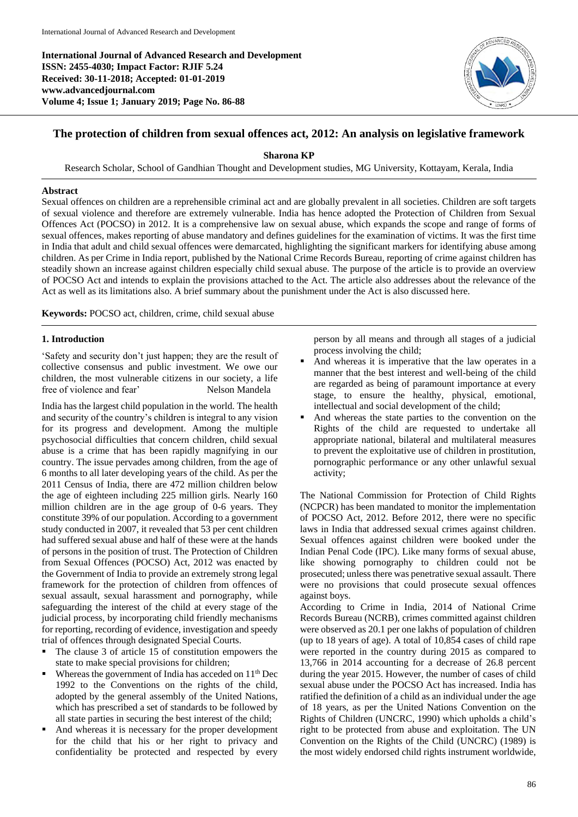**International Journal of Advanced Research and Development ISSN: 2455-4030; Impact Factor: RJIF 5.24 Received: 30-11-2018; Accepted: 01-01-2019 www.advancedjournal.com Volume 4; Issue 1; January 2019; Page No. 86-88**



# **The protection of children from sexual offences act, 2012: An analysis on legislative framework**

**Sharona KP**

Research Scholar, School of Gandhian Thought and Development studies, MG University, Kottayam, Kerala, India

## **Abstract**

Sexual offences on children are a reprehensible criminal act and are globally prevalent in all societies. Children are soft targets of sexual violence and therefore are extremely vulnerable. India has hence adopted the Protection of Children from Sexual Offences Act (POCSO) in 2012. It is a comprehensive law on sexual abuse, which expands the scope and range of forms of sexual offences, makes reporting of abuse mandatory and defines guidelines for the examination of victims. It was the first time in India that adult and child sexual offences were demarcated, highlighting the significant markers for identifying abuse among children. As per Crime in India report, published by the National Crime Records Bureau, reporting of crime against children has steadily shown an increase against children especially child sexual abuse. The purpose of the article is to provide an overview of POCSO Act and intends to explain the provisions attached to the Act. The article also addresses about the relevance of the Act as well as its limitations also. A brief summary about the punishment under the Act is also discussed here.

**Keywords:** POCSO act, children, crime, child sexual abuse

#### **1. Introduction**

'Safety and security don't just happen; they are the result of collective consensus and public investment. We owe our children, the most vulnerable citizens in our society, a life free of violence and fear' Nelson Mandela

India has the largest child population in the world. The health and security of the country's children is integral to any vision for its progress and development. Among the multiple psychosocial difficulties that concern children, child sexual abuse is a crime that has been rapidly magnifying in our country. The issue pervades among children, from the age of 6 months to all later developing years of the child. As per the 2011 Census of India, there are 472 million children below the age of eighteen including 225 million girls. Nearly 160 million children are in the age group of 0-6 years. They constitute 39% of our population. According to a government study conducted in 2007, it revealed that 53 per cent children had suffered sexual abuse and half of these were at the hands of persons in the position of trust. The Protection of Children from Sexual Offences (POCSO) Act, 2012 was enacted by the Government of India to provide an extremely strong legal framework for the protection of children from offences of sexual assault, sexual harassment and pornography, while safeguarding the interest of the child at every stage of the judicial process, by incorporating child friendly mechanisms for reporting, recording of evidence, investigation and speedy trial of offences through designated Special Courts.

- The clause 3 of article 15 of constitution empowers the state to make special provisions for children;
- Whereas the government of India has acceded on 11<sup>th</sup> Dec 1992 to the Conventions on the rights of the child, adopted by the general assembly of the United Nations, which has prescribed a set of standards to be followed by all state parties in securing the best interest of the child;
- And whereas it is necessary for the proper development for the child that his or her right to privacy and confidentiality be protected and respected by every

person by all means and through all stages of a judicial process involving the child;

- And whereas it is imperative that the law operates in a manner that the best interest and well-being of the child are regarded as being of paramount importance at every stage, to ensure the healthy, physical, emotional, intellectual and social development of the child;
- And whereas the state parties to the convention on the Rights of the child are requested to undertake all appropriate national, bilateral and multilateral measures to prevent the exploitative use of children in prostitution, pornographic performance or any other unlawful sexual activity;

The National Commission for Protection of Child Rights (NCPCR) has been mandated to monitor the implementation of POCSO Act, 2012. Before 2012, there were no specific laws in India that addressed sexual crimes against children. Sexual offences against children were booked under the Indian Penal Code (IPC). Like many forms of sexual abuse, like showing pornography to children could not be prosecuted; unless there was penetrative sexual assault. There were no provisions that could prosecute sexual offences against boys.

According to Crime in India, 2014 of National Crime Records Bureau (NCRB), crimes committed against children were observed as 20.1 per one lakhs of population of children (up to 18 years of age). A total of 10,854 cases of child rape were reported in the country during 2015 as compared to 13,766 in 2014 accounting for a decrease of 26.8 percent during the year 2015. However, the number of cases of child sexual abuse under the POCSO Act has increased. India has ratified the definition of a child as an individual under the age of 18 years, as per the United Nations Convention on the Rights of Children (UNCRC, 1990) which upholds a child's right to be protected from abuse and exploitation. The UN Convention on the Rights of the Child (UNCRC) (1989) is the most widely endorsed child rights instrument worldwide,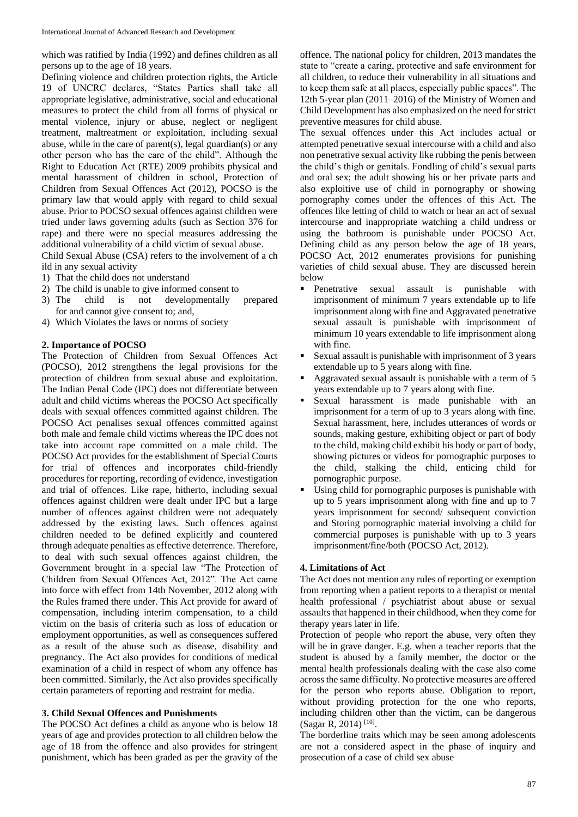which was ratified by India (1992) and defines children as all persons up to the age of 18 years.

Defining violence and children protection rights, the Article 19 of UNCRC declares, "States Parties shall take all appropriate legislative, administrative, social and educational measures to protect the child from all forms of physical or mental violence, injury or abuse, neglect or negligent treatment, maltreatment or exploitation, including sexual abuse, while in the care of parent(s), legal guardian(s) or any other person who has the care of the child". Although the Right to Education Act (RTE) 2009 prohibits physical and mental harassment of children in school, Protection of Children from Sexual Offences Act (2012), POCSO is the primary law that would apply with regard to child sexual abuse. Prior to POCSO sexual offences against children were tried under laws governing adults (such as Section 376 for rape) and there were no special measures addressing the additional vulnerability of a child victim of sexual abuse.

Child Sexual Abuse (CSA) refers to the involvement of a ch ild in any sexual activity

- 1) That the child does not understand
- 2) The child is unable to give informed consent to
- 3) The child is not developmentally prepared for and cannot give consent to; and,
- 4) Which Violates the laws or norms of society

# **2. Importance of POCSO**

The Protection of Children from Sexual Offences Act (POCSO), 2012 strengthens the legal provisions for the protection of children from sexual abuse and exploitation. The Indian Penal Code (IPC) does not differentiate between adult and child victims whereas the POCSO Act specifically deals with sexual offences committed against children. The POCSO Act penalises sexual offences committed against both male and female child victims whereas the IPC does not take into account rape committed on a male child. The POCSO Act provides for the establishment of Special Courts for trial of offences and incorporates child-friendly procedures for reporting, recording of evidence, investigation and trial of offences. Like rape, hitherto, including sexual offences against children were dealt under IPC but a large number of offences against children were not adequately addressed by the existing laws. Such offences against children needed to be defined explicitly and countered through adequate penalties as effective deterrence. Therefore, to deal with such sexual offences against children, the Government brought in a special law "The Protection of Children from Sexual Offences Act, 2012". The Act came into force with effect from 14th November, 2012 along with the Rules framed there under. This Act provide for award of compensation, including interim compensation, to a child victim on the basis of criteria such as loss of education or employment opportunities, as well as consequences suffered as a result of the abuse such as disease, disability and pregnancy. The Act also provides for conditions of medical examination of a child in respect of whom any offence has been committed. Similarly, the Act also provides specifically certain parameters of reporting and restraint for media.

#### **3. Child Sexual Offences and Punishments**

The POCSO Act defines a child as anyone who is below 18 years of age and provides protection to all children below the age of 18 from the offence and also provides for stringent punishment, which has been graded as per the gravity of the

offence. The national policy for children, 2013 mandates the state to "create a caring, protective and safe environment for all children, to reduce their vulnerability in all situations and to keep them safe at all places, especially public spaces". The 12th 5-year plan (2011–2016) of the Ministry of Women and Child Development has also emphasized on the need for strict preventive measures for child abuse.

The sexual offences under this Act includes actual or attempted penetrative sexual intercourse with a child and also non penetrative sexual activity like rubbing the penis between the child's thigh or genitals. Fondling of child's sexual parts and oral sex; the adult showing his or her private parts and also exploitive use of child in pornography or showing pornography comes under the offences of this Act. The offences like letting of child to watch or hear an act of sexual intercourse and inappropriate watching a child undress or using the bathroom is punishable under POCSO Act. Defining child as any person below the age of 18 years, POCSO Act, 2012 enumerates provisions for punishing varieties of child sexual abuse. They are discussed herein below

- Penetrative sexual assault is punishable with imprisonment of minimum 7 years extendable up to life imprisonment along with fine and Aggravated penetrative sexual assault is punishable with imprisonment of minimum 10 years extendable to life imprisonment along with fine.
- Sexual assault is punishable with imprisonment of 3 years extendable up to 5 years along with fine.
- Aggravated sexual assault is punishable with a term of 5 years extendable up to 7 years along with fine.
- Sexual harassment is made punishable with an imprisonment for a term of up to 3 years along with fine. Sexual harassment, here, includes utterances of words or sounds, making gesture, exhibiting object or part of body to the child, making child exhibit his body or part of body, showing pictures or videos for pornographic purposes to the child, stalking the child, enticing child for pornographic purpose.
- Using child for pornographic purposes is punishable with up to 5 years imprisonment along with fine and up to 7 years imprisonment for second/ subsequent conviction and Storing pornographic material involving a child for commercial purposes is punishable with up to 3 years imprisonment/fine/both (POCSO Act, 2012).

## **4. Limitations of Act**

The Act does not mention any rules of reporting or exemption from reporting when a patient reports to a therapist or mental health professional / psychiatrist about abuse or sexual assaults that happened in their childhood, when they come for therapy years later in life.

Protection of people who report the abuse, very often they will be in grave danger. E.g. when a teacher reports that the student is abused by a family member, the doctor or the mental health professionals dealing with the case also come across the same difficulty. No protective measures are offered for the person who reports abuse. Obligation to report, without providing protection for the one who reports, including children other than the victim, can be dangerous (Sagar R, 2014)<sup>[10]</sup>.

The borderline traits which may be seen among adolescents are not a considered aspect in the phase of inquiry and prosecution of a case of child sex abuse